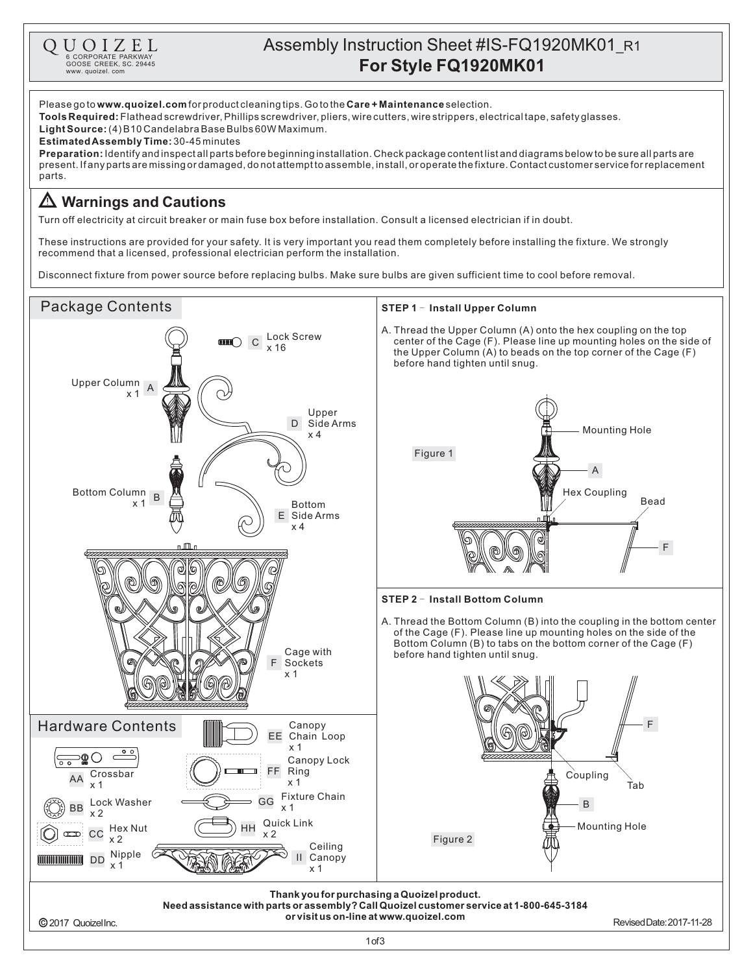

## Assembly Instruction Sheet #IS-FQ1920MK01\_R1 **For Style FORD ASSembly Instruction Sheet #IS-FQ19**<br>
Experience CREEK, SC.29445<br>
WWW.quoizel.com

1of3 Hardware Contents AA **BB**  $\infty$   $cc$ DD EE FF II Crossbar x 1 Lock Washer x 2 Hex Nut x 2 Nipple x 1 Canopy Chain Loop x 1 Canopy Lock Ring x 1 Ceiling Canopy x 1 GG Fixture Chain x 1 Quick Link x 2 Please go to www.quoizel.com for product cleaning tips. Go to the Care + Maintenance selection. (4)B10CandelabraBaseBulbs60WMaximum. **LightSource: Estimated Assembly Time:** 30-45 minutes Identifyandinspectallpartsbeforebeginninginstallation.Checkpackagecontentlistanddiagramsbelowtobesureallpartsare **Preparation:** present.Ifanypartsaremissingordamaged,donotattempttoassemble,install,oroperatethefixture.Contactcustomerserviceforreplacement parts. **Tools Required:** Flathead screwdriver, Phillips screwdriver, pliers, wire cutters, wire strippers, electrical tape, safety glasses. **Warnings and Cautions** Turn off electricity at circuit breaker or main fuse box before installation. Consult a licensed electrician if in doubt. These instructions are provided for your safety. It is very important you read them completely before installing the fixture. We strongly recommend that a licensed, professional electrician perform the installation. Disconnect fixture from power source before replacing bulbs. Make sure bulbs are given sufficient time to cool before removal. 2017 QuoizelInc. **Thank youfor purchasinga Quoizelproduct. Needassistance withparts or assembly?CallQuoizelcustomer service at 1-800-645-3184 or visit us on-line at www.quoizel.com** Package Contents A B C  $\Box$ E Upper Column x 1 Bottom Column x 1 Upper Side Arms x 4 Lock Screw x 16 F Cage with **Sockets** x 1 Bottom Side Arms x 4 **STEP 1 - Install Upper Column** A. Thread the Upper Column (A) onto the hex coupling on the top center of the Cage (F). Please line up mounting holes on the side of the Upper Column (A) to beads on the top corner of the Cage (F) before hand tighten until snug. Figure 1 **STEP 2 - Install Bottom Column** A. Thread the Bottom Column (B) into the coupling in the bottom center of the Cage (F). Please line up mounting holes on the side of the Bottom Column (B) to tabs on the bottom corner of the Cage (F) before hand tighten until snug. Figure 2 Mounting Hole A Hex Coupling<br>Bead F **Coupling** Tab Mounting Hole B F RevisedDate:2017-11-28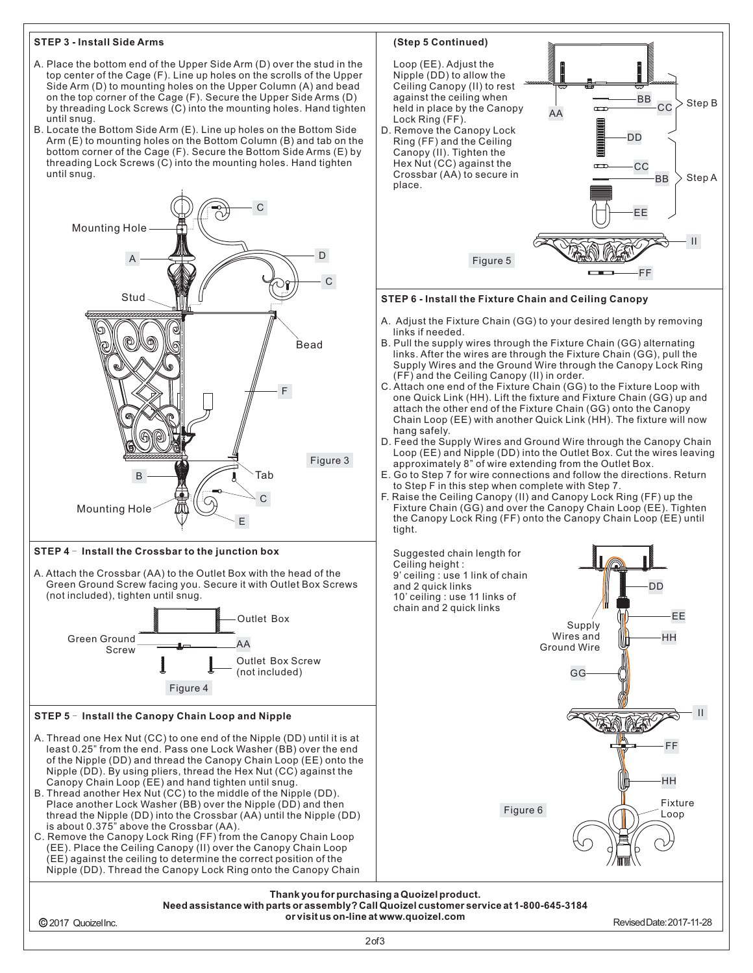## **STEP 3 - Install Side Arms**

- A. Place the bottom end of the Upper Side Arm (D) over the stud in the top center of the Cage (F). Line up holes on the scrolls of the Upper Side Arm (D) to mounting holes on the Upper Column (A) and bead on the top corner of the Cage (F). Secure the Upper Side Arms (D) by threading Lock Screws (C) into the mounting holes. Hand tighten until snug.
- B. Locate the Bottom Side Arm (E). Line up holes on the Bottom Side Arm (E) to mounting holes on the Bottom Column (B) and tab on the bottom corner of the Cage (F). Secure the Bottom Side Arms (E) by threading Lock Screws (C) into the mounting holes. Hand tighten until snug.



- least 0.25" from the end. Pass one Lock Washer (BB) over the end of the Nipple (DD) and thread the Canopy Chain Loop (EE) onto the Nipple (DD). By using pliers, thread the Hex Nut (CC) against the Canopy Chain Loop (EE) and hand tighten until snug.
- B. Thread another Hex Nut (CC) to the middle of the Nipple (DD). Place another Lock Washer (BB) over the Nipple (DD) and then thread the Nipple (DD) into the Crossbar (AA) until the Nipple (DD) is about 0.375" above the Crossbar (AA).
- C. Remove the Canopy Lock Ring (FF) from the Canopy Chain Loop (EE). Place the Ceiling Canopy (II) over the Canopy Chain Loop (EE) against the ceiling to determine the correct position of the Nipple (DD). Thread the Canopy Lock Ring onto the Canopy Chain



## **STEP 6 - Install the Fixture Chain and Ceiling Canopy**

- A. Adjust the Fixture Chain (GG) to your desired length by removing links if needed.
- B. Pull the supply wires through the Fixture Chain (GG) alternating links. After the wires are through the Fixture Chain (GG), pull the Supply Wires and the Ground Wire through the Canopy Lock Ring (FF) and the Ceiling Canopy (II) in order.
- C. Attach one end of the Fixture Chain (GG) to the Fixture Loop with one Quick Link (HH). Lift the fixture and Fixture Chain (GG) up and attach the other end of the Fixture Chain (GG) onto the Canopy Chain Loop (EE) with another Quick Link (HH). The fixture will now hang safely.
- D. Feed the Supply Wires and Ground Wire through the Canopy Chain Loop (EE) and Nipple (DD) into the Outlet Box. Cut the wires leaving approximately 8" of wire extending from the Outlet Box.
- E. Go to Step 7 for wire connections and follow the directions. Return to Step F in this step when complete with Step 7.
- F. Raise the Ceiling Canopy (II) and Canopy Lock Ring (FF) up the Fixture Chain (GG) and over the Canopy Chain Loop (EE). Tighten the Canopy Lock Ring (FF) onto the Canopy Chain Loop (EE) until tight.



2017 QuoizelInc.

**Needassistance withparts or assembly?CallQuoizelcustomer service at 1-800-645-3184 or visit us on-line at www.quoizel.com**

RevisedDate:2017-11-28